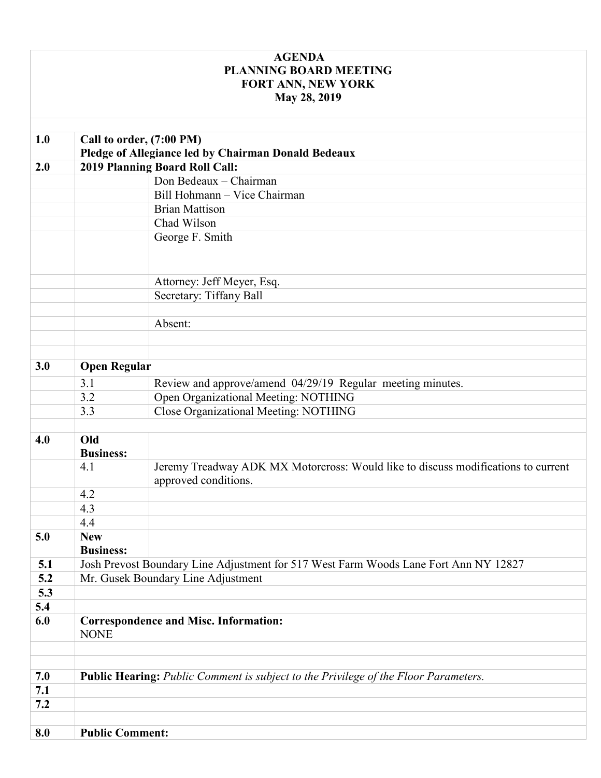## **AGENDA PLANNING BOARD MEETING FORT ANN, NEW YORK May 28, 2019**

| 1.0 | Call to order, (7:00 PM)                                                                   |                                                                                                           |  |  |
|-----|--------------------------------------------------------------------------------------------|-----------------------------------------------------------------------------------------------------------|--|--|
|     | Pledge of Allegiance led by Chairman Donald Bedeaux                                        |                                                                                                           |  |  |
| 2.0 |                                                                                            | 2019 Planning Board Roll Call:                                                                            |  |  |
|     |                                                                                            | Don Bedeaux - Chairman                                                                                    |  |  |
|     |                                                                                            | Bill Hohmann - Vice Chairman                                                                              |  |  |
|     |                                                                                            | <b>Brian Mattison</b>                                                                                     |  |  |
|     |                                                                                            | Chad Wilson                                                                                               |  |  |
|     |                                                                                            | George F. Smith                                                                                           |  |  |
|     |                                                                                            |                                                                                                           |  |  |
|     |                                                                                            |                                                                                                           |  |  |
|     |                                                                                            | Attorney: Jeff Meyer, Esq.                                                                                |  |  |
|     |                                                                                            | Secretary: Tiffany Ball                                                                                   |  |  |
|     |                                                                                            |                                                                                                           |  |  |
|     |                                                                                            | Absent:                                                                                                   |  |  |
|     |                                                                                            |                                                                                                           |  |  |
|     |                                                                                            |                                                                                                           |  |  |
| 3.0 |                                                                                            | <b>Open Regular</b>                                                                                       |  |  |
|     | 3.1                                                                                        | Review and approve/amend 04/29/19 Regular meeting minutes.                                                |  |  |
|     | 3.2                                                                                        | Open Organizational Meeting: NOTHING                                                                      |  |  |
|     | 3.3                                                                                        | Close Organizational Meeting: NOTHING                                                                     |  |  |
|     |                                                                                            |                                                                                                           |  |  |
| 4.0 | Old                                                                                        |                                                                                                           |  |  |
|     | <b>Business:</b>                                                                           |                                                                                                           |  |  |
|     | 4.1                                                                                        | Jeremy Treadway ADK MX Motorcross: Would like to discuss modifications to current<br>approved conditions. |  |  |
|     | 4.2                                                                                        |                                                                                                           |  |  |
|     | 4.3                                                                                        |                                                                                                           |  |  |
|     | 4.4                                                                                        |                                                                                                           |  |  |
| 5.0 | <b>New</b>                                                                                 |                                                                                                           |  |  |
|     | <b>Business:</b>                                                                           |                                                                                                           |  |  |
| 5.1 | Josh Prevost Boundary Line Adjustment for 517 West Farm Woods Lane Fort Ann NY 12827       |                                                                                                           |  |  |
| 5.2 | Mr. Gusek Boundary Line Adjustment                                                         |                                                                                                           |  |  |
| 5.3 |                                                                                            |                                                                                                           |  |  |
| 5.4 |                                                                                            |                                                                                                           |  |  |
| 6.0 | <b>Correspondence and Misc. Information:</b>                                               |                                                                                                           |  |  |
|     | <b>NONE</b>                                                                                |                                                                                                           |  |  |
|     |                                                                                            |                                                                                                           |  |  |
|     |                                                                                            |                                                                                                           |  |  |
| 7.0 | <b>Public Hearing:</b> Public Comment is subject to the Privilege of the Floor Parameters. |                                                                                                           |  |  |
| 7.1 |                                                                                            |                                                                                                           |  |  |
| 7.2 |                                                                                            |                                                                                                           |  |  |
|     |                                                                                            |                                                                                                           |  |  |
| 8.0 | <b>Public Comment:</b>                                                                     |                                                                                                           |  |  |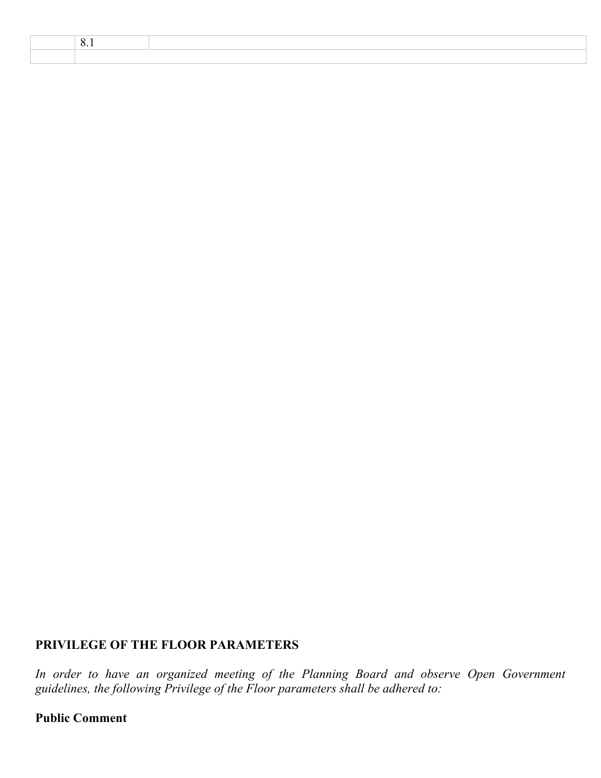# **PRIVILEGE OF THE FLOOR PARAMETERS**

*In order to have an organized meeting of the Planning Board and observe Open Government guidelines, the following Privilege of the Floor parameters shall be adhered to:* 

#### **Public Comment**